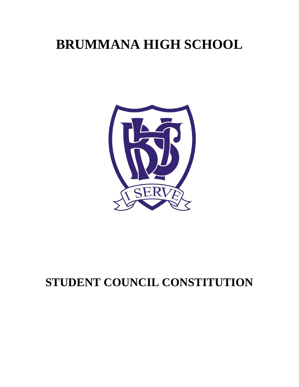# **BRUMMANA HIGH SCHOOL**



# **STUDENT COUNCIL CONSTITUTION**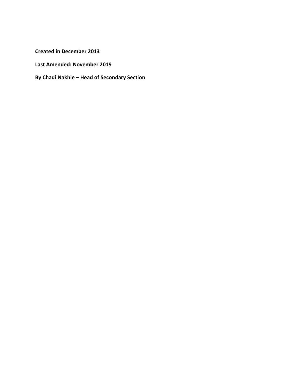**Created in December 2013**

**Last Amended: November 2019**

**By Chadi Nakhle – Head of Secondary Section**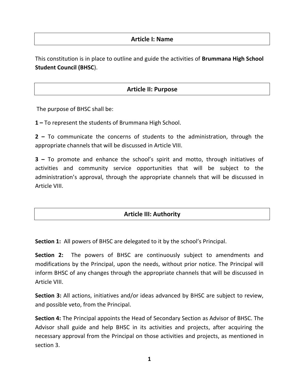#### **Article I: Name**

This constitution is in place to outline and guide the activities of **Brummana High School Student Council (BHSC**).

# **Article II: Purpose**

The purpose of BHSC shall be:

**1 –** To represent the students of Brummana High School.

**2 –** To communicate the concerns of students to the administration, through the appropriate channels that will be discussed in Article VIII.

**3 –** To promote and enhance the school's spirit and motto, through initiatives of activities and community service opportunities that will be subject to the administration's approval, through the appropriate channels that will be discussed in Article VIII.

# **Article III: Authority**

**Section 1:** All powers of BHSC are delegated to it by the school's Principal.

**Section 2:** The powers of BHSC are continuously subject to amendments and modifications by the Principal, upon the needs, without prior notice. The Principal will inform BHSC of any changes through the appropriate channels that will be discussed in Article VIII.

**Section 3:** All actions, initiatives and/or ideas advanced by BHSC are subject to review, and possible veto, from the Principal.

**Section 4:** The Principal appoints the Head of Secondary Section as Advisor of BHSC. The Advisor shall guide and help BHSC in its activities and projects, after acquiring the necessary approval from the Principal on those activities and projects, as mentioned in section 3.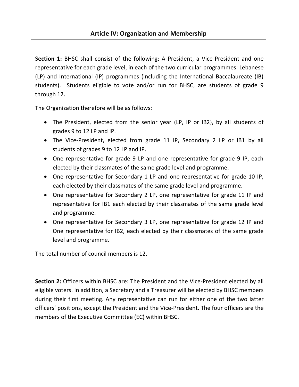# **Article IV: Organization and Membership**

**Section 1:** BHSC shall consist of the following: A President, a Vice-President and one representative for each grade level, in each of the two curricular programmes: Lebanese (LP) and International (IP) programmes (including the International Baccalaureate (IB) students). Students eligible to vote and/or run for BHSC, are students of grade 9 through 12.

The Organization therefore will be as follows:

- The President, elected from the senior year (LP, IP or IB2), by all students of grades 9 to 12 LP and IP.
- The Vice-President, elected from grade 11 IP, Secondary 2 LP or IB1 by all students of grades 9 to 12 LP and IP.
- One representative for grade 9 LP and one representative for grade 9 IP, each elected by their classmates of the same grade level and programme.
- One representative for Secondary 1 LP and one representative for grade 10 IP, each elected by their classmates of the same grade level and programme.
- One representative for Secondary 2 LP, one representative for grade 11 IP and representative for IB1 each elected by their classmates of the same grade level and programme.
- One representative for Secondary 3 LP, one representative for grade 12 IP and One representative for IB2, each elected by their classmates of the same grade level and programme.

The total number of council members is 12.

**Section 2:** Officers within BHSC are: The President and the Vice-President elected by all eligible voters. In addition, a Secretary and a Treasurer will be elected by BHSC members during their first meeting. Any representative can run for either one of the two latter officers' positions, except the President and the Vice-President. The four officers are the members of the Executive Committee (EC) within BHSC.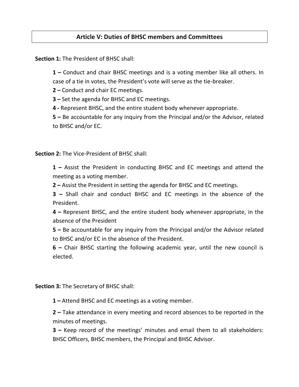# **Article V: Duties of BHSC members and Committees**

**Section 1:** The President of BHSC shall:

**1 –** Conduct and chair BHSC meetings and is a voting member like all others. In case of a tie in votes, the President's vote will serve as the tie-breaker.

**2 –** Conduct and chair EC meetings.

**3 –** Set the agenda for BHSC and EC meetings.

**4 -** Represent BHSC, and the entire student body whenever appropriate.

**5 –** Be accountable for any inquiry from the Principal and/or the Advisor, related to BHSC and/or EC.

**Section 2:** The Vice-President of BHSC shall:

**1 –** Assist the President in conducting BHSC and EC meetings and attend the meeting as a voting member.

**2 –** Assist the President in setting the agenda for BHSC and EC meetings.

**3 –** Shall chair and conduct BHSC and EC meetings in the absence of the President.

**4 –** Represent BHSC, and the entire student body whenever appropriate, in the absence of the President

**5 –** Be accountable for any inquiry from the Principal and/or the Advisor related to BHSC and/or EC in the absence of the President.

**6 –** Chair BHSC starting the following academic year, until the new council is elected.

**Section 3:** The Secretary of BHSC shall:

**1 –** Attend BHSC and EC meetings as a voting member.

**2 –** Take attendance in every meeting and record absences to be reported in the minutes of meetings.

**3 –** Keep record of the meetings' minutes and email them to all stakeholders: BHSC Officers, BHSC members, the Principal and BHSC Advisor.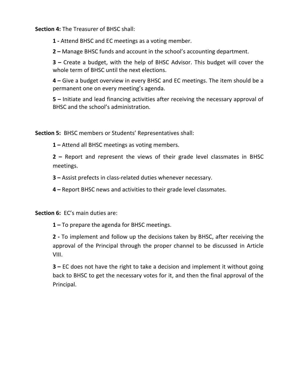**Section 4:** The Treasurer of BHSC shall:

**1 -** Attend BHSC and EC meetings as a voting member.

**2 –** Manage BHSC funds and account in the school's accounting department.

**3 –** Create a budget, with the help of BHSC Advisor. This budget will cover the whole term of BHSC until the next elections.

**4 –** Give a budget overview in every BHSC and EC meetings. The item should be a permanent one on every meeting's agenda.

**5 –** Initiate and lead financing activities after receiving the necessary approval of BHSC and the school's administration.

**Section 5:** BHSC members or Students' Representatives shall:

**1 –** Attend all BHSC meetings as voting members.

**2 –** Report and represent the views of their grade level classmates in BHSC meetings.

**3 –** Assist prefects in class-related duties whenever necessary.

**4 –** Report BHSC news and activities to their grade level classmates.

**Section 6:** EC's main duties are:

**1 –** To prepare the agenda for BHSC meetings.

**2 -** To implement and follow up the decisions taken by BHSC, after receiving the approval of the Principal through the proper channel to be discussed in Article VIII.

**3 –** EC does not have the right to take a decision and implement it without going back to BHSC to get the necessary votes for it, and then the final approval of the Principal.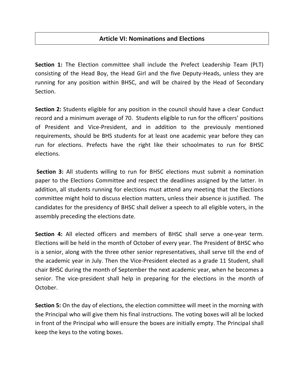# **Article VI: Nominations and Elections**

**Section 1:** The Election committee shall include the Prefect Leadership Team (PLT) consisting of the Head Boy, the Head Girl and the five Deputy-Heads, unless they are running for any position within BHSC, and will be chaired by the Head of Secondary Section.

**Section 2:** Students eligible for any position in the council should have a clear Conduct record and a minimum average of 70. Students eligible to run for the officers' positions of President and Vice-President, and in addition to the previously mentioned requirements, should be BHS students for at least one academic year before they can run for elections. Prefects have the right like their schoolmates to run for BHSC elections.

**Section 3:** All students willing to run for BHSC elections must submit a nomination paper to the Elections Committee and respect the deadlines assigned by the latter. In addition, all students running for elections must attend any meeting that the Elections committee might hold to discuss election matters, unless their absence is justified. The candidates for the presidency of BHSC shall deliver a speech to all eligible voters, in the assembly preceding the elections date.

**Section 4:** All elected officers and members of BHSC shall serve a one-year term. Elections will be held in the month of October of every year. The President of BHSC who is a senior, along with the three other senior representatives, shall serve till the end of the academic year in July. Then the Vice-President elected as a grade 11 Student, shall chair BHSC during the month of September the next academic year, when he becomes a senior. The vice-president shall help in preparing for the elections in the month of October.

**Section 5:** On the day of elections, the election committee will meet in the morning with the Principal who will give them his final instructions. The voting boxes will all be locked in front of the Principal who will ensure the boxes are initially empty. The Principal shall keep the keys to the voting boxes.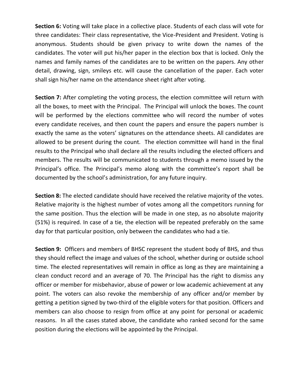**Section 6:** Voting will take place in a collective place. Students of each class will vote for three candidates: Their class representative, the Vice-President and President. Voting is anonymous. Students should be given privacy to write down the names of the candidates. The voter will put his/her paper in the election box that is locked. Only the names and family names of the candidates are to be written on the papers. Any other detail, drawing, sign, smileys etc. will cause the cancellation of the paper. Each voter shall sign his/her name on the attendance sheet right after voting.

**Section 7:** After completing the voting process, the election committee will return with all the boxes, to meet with the Principal. The Principal will unlock the boxes. The count will be performed by the elections committee who will record the number of votes every candidate receives, and then count the papers and ensure the papers number is exactly the same as the voters' signatures on the attendance sheets. All candidates are allowed to be present during the count. The election committee will hand in the final results to the Principal who shall declare all the results including the elected officers and members. The results will be communicated to students through a memo issued by the Principal's office. The Principal's memo along with the committee's report shall be documented by the school's administration, for any future inquiry.

**Section 8:** The elected candidate should have received the relative majority of the votes. Relative majority is the highest number of votes among all the competitors running for the same position. Thus the election will be made in one step, as no absolute majority (51%) is required. In case of a tie, the election will be repeated preferably on the same day for that particular position, only between the candidates who had a tie.

**Section 9:** Officers and members of BHSC represent the student body of BHS, and thus they should reflect the image and values of the school, whether during or outside school time. The elected representatives will remain in office as long as they are maintaining a clean conduct record and an average of 70. The Principal has the right to dismiss any officer or member for misbehavior, abuse of power or low academic achievement at any point. The voters can also revoke the membership of any officer and/or member by getting a petition signed by two-third of the eligible voters for that position. Officers and members can also choose to resign from office at any point for personal or academic reasons. In all the cases stated above, the candidate who ranked second for the same position during the elections will be appointed by the Principal.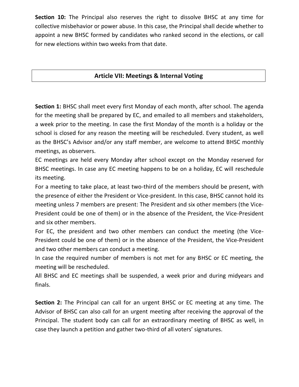**Section 10:** The Principal also reserves the right to dissolve BHSC at any time for collective misbehavior or power abuse. In this case, the Principal shall decide whether to appoint a new BHSC formed by candidates who ranked second in the elections, or call for new elections within two weeks from that date.

# **Article VII: Meetings & Internal Voting**

**Section 1:** BHSC shall meet every first Monday of each month, after school. The agenda for the meeting shall be prepared by EC, and emailed to all members and stakeholders, a week prior to the meeting. In case the first Monday of the month is a holiday or the school is closed for any reason the meeting will be rescheduled. Every student, as well as the BHSC's Advisor and/or any staff member, are welcome to attend BHSC monthly meetings, as observers.

EC meetings are held every Monday after school except on the Monday reserved for BHSC meetings. In case any EC meeting happens to be on a holiday, EC will reschedule its meeting.

For a meeting to take place, at least two-third of the members should be present, with the presence of either the President or Vice-president. In this case, BHSC cannot hold its meeting unless 7 members are present: The President and six other members (the Vice-President could be one of them) or in the absence of the President, the Vice-President and six other members.

For EC, the president and two other members can conduct the meeting (the Vice-President could be one of them) or in the absence of the President, the Vice-President and two other members can conduct a meeting.

In case the required number of members is not met for any BHSC or EC meeting, the meeting will be rescheduled.

All BHSC and EC meetings shall be suspended, a week prior and during midyears and finals.

**Section 2:** The Principal can call for an urgent BHSC or EC meeting at any time. The Advisor of BHSC can also call for an urgent meeting after receiving the approval of the Principal. The student body can call for an extraordinary meeting of BHSC as well, in case they launch a petition and gather two-third of all voters' signatures.